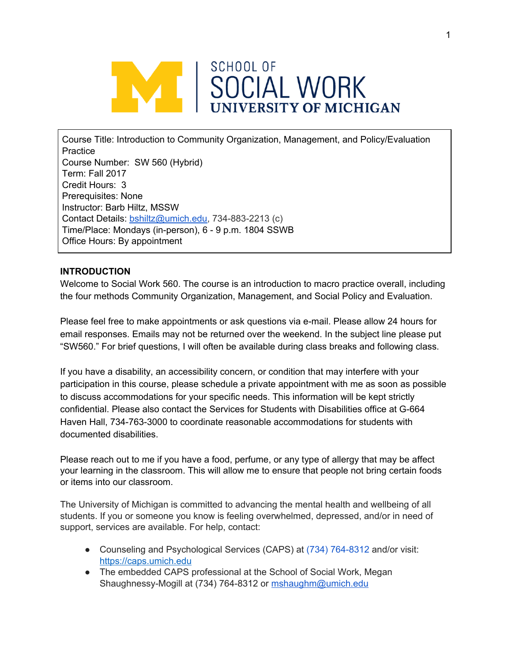

Course Title: Introduction to Community Organization, Management, and Policy/Evaluation **Practice** Course Number: SW 560 (Hybrid) Term: Fall 2017 Credit Hours: 3 Prerequisites: None Instructor: Barb Hiltz, MSSW Contact Details: [bshiltz@umich.edu,](mailto:bshiltz@umich.edu) 734-883-2213 (c) Time/Place: Mondays (in-person), 6 - 9 p.m. 1804 SSWB Office Hours: By appointment

#### **INTRODUCTION**

Welcome to Social Work 560. The course is an introduction to macro practice overall, including the four methods Community Organization, Management, and Social Policy and Evaluation.

Please feel free to make appointments or ask questions via e-mail. Please allow 24 hours for email responses. Emails may not be returned over the weekend. In the subject line please put "SW560." For brief questions, I will often be available during class breaks and following class.

If you have a disability, an accessibility concern, or condition that may interfere with your participation in this course, please schedule a private appointment with me as soon as possible to discuss accommodations for your specific needs. This information will be kept strictly confidential. Please also contact the Services for Students with Disabilities office at G-664 Haven Hall, 734-763-3000 to coordinate reasonable accommodations for students with documented disabilities.

Please reach out to me if you have a food, perfume, or any type of allergy that may be affect your learning in the classroom. This will allow me to ensure that people not bring certain foods or items into our classroom.

The University of Michigan is committed to advancing the mental health and wellbeing of all students. If you or someone you know is feeling overwhelmed, depressed, and/or in need of support, services are available. For help, contact:

- Counseling and Psychological Services (CAPS) at (734) 764-8312 and/or visit[:](https://caps.umich.edu/) [https://caps.umich.edu](https://caps.umich.edu/)
- The embedded CAPS professional at the School of Social Work, Megan Shaughnessy-Mogill at (734) 764-8312 or [mshaughm@umich.edu](mailto:mshaughm@umich.edu)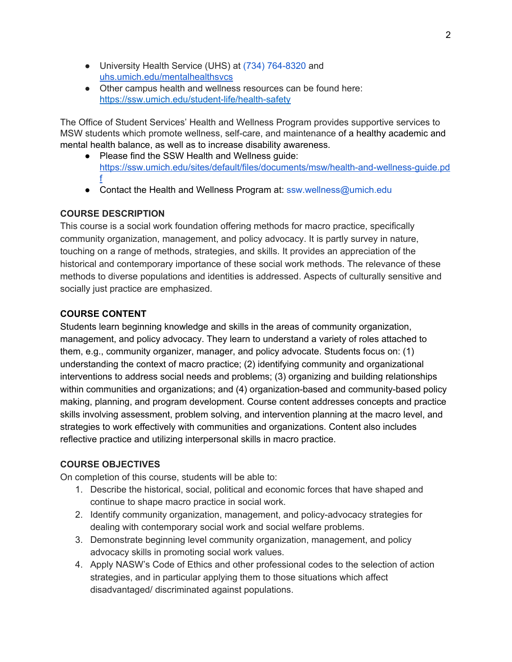- University Health Service (UHS) at (734) 764-8320 an[d](https://www.uhs.umich.edu/mentalhealthsvcs) [uhs.umich.edu/mentalhealthsvcs](https://www.uhs.umich.edu/mentalhealthsvcs)
- Other campus health and wellness resources can be found here: <https://ssw.umich.edu/student-life/health-safety>

The Office of Student Services' Health and Wellness Program provides supportive services to MSW students which promote wellness, self-care, and maintenance of a healthy academic and mental health balance, as well as to increase disability awareness.

- Please find the SSW Health and Wellness guide[:](https://ssw.umich.edu/sites/default/files/documents/msw/health-and-wellness-guide.pdf) [https://ssw.umich.edu/sites/default/files/documents/msw/health-and-wellness-guide.pd](https://ssw.umich.edu/sites/default/files/documents/msw/health-and-wellness-guide.pdf) [f](https://ssw.umich.edu/sites/default/files/documents/msw/health-and-wellness-guide.pdf)
- Contact the Health and Wellness Program at: ssw.wellness@umich.edu

## **COURSE DESCRIPTION**

This course is a social work foundation offering methods for macro practice, specifically community organization, management, and policy advocacy. It is partly survey in nature, touching on a range of methods, strategies, and skills. It provides an appreciation of the historical and contemporary importance of these social work methods. The relevance of these methods to diverse populations and identities is addressed. Aspects of culturally sensitive and socially just practice are emphasized.

## **COURSE CONTENT**

Students learn beginning knowledge and skills in the areas of community organization, management, and policy advocacy. They learn to understand a variety of roles attached to them, e.g., community organizer, manager, and policy advocate. Students focus on: (1) understanding the context of macro practice; (2) identifying community and organizational interventions to address social needs and problems; (3) organizing and building relationships within communities and organizations; and (4) organization-based and community-based policy making, planning, and program development. Course content addresses concepts and practice skills involving assessment, problem solving, and intervention planning at the macro level, and strategies to work effectively with communities and organizations. Content also includes reflective practice and utilizing interpersonal skills in macro practice.

# **COURSE OBJECTIVES**

On completion of this course, students will be able to:

- 1. Describe the historical, social, political and economic forces that have shaped and continue to shape macro practice in social work.
- 2. Identify community organization, management, and policy-advocacy strategies for dealing with contemporary social work and social welfare problems.
- 3. Demonstrate beginning level community organization, management, and policy advocacy skills in promoting social work values.
- 4. Apply NASW's Code of Ethics and other professional codes to the selection of action strategies, and in particular applying them to those situations which affect disadvantaged/ discriminated against populations.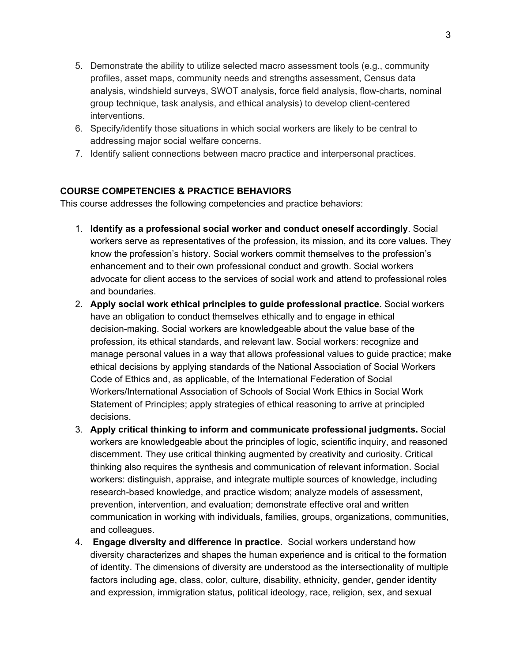- 5. Demonstrate the ability to utilize selected macro assessment tools (e.g., community profiles, asset maps, community needs and strengths assessment, Census data analysis, windshield surveys, SWOT analysis, force field analysis, flow-charts, nominal group technique, task analysis, and ethical analysis) to develop client-centered interventions.
- 6. Specify/identify those situations in which social workers are likely to be central to addressing major social welfare concerns.
- 7. Identify salient connections between macro practice and interpersonal practices.

## **COURSE COMPETENCIES & PRACTICE BEHAVIORS**

This course addresses the following competencies and practice behaviors:

- 1. **Identify as a professional social worker and conduct oneself accordingly**. Social workers serve as representatives of the profession, its mission, and its core values. They know the profession's history. Social workers commit themselves to the profession's enhancement and to their own professional conduct and growth. Social workers advocate for client access to the services of social work and attend to professional roles and boundaries.
- 2. **Apply social work ethical principles to guide professional practice.** S ocial workers have an obligation to conduct themselves ethically and to engage in ethical decision-making. Social workers are knowledgeable about the value base of the profession, its ethical standards, and relevant law. Social workers: recognize and manage personal values in a way that allows professional values to guide practice; make ethical decisions by applying standards of the National Association of Social Workers Code of Ethics and, as applicable, of the International Federation of Social Workers/International Association of Schools of Social Work Ethics in Social Work Statement of Principles; apply strategies of ethical reasoning to arrive at principled decisions.
- 3. **Apply critical thinking to inform and communicate professional judgments.** S ocial workers are knowledgeable about the principles of logic, scientific inquiry, and reasoned discernment. They use critical thinking augmented by creativity and curiosity. Critical thinking also requires the synthesis and communication of relevant information. Social workers: distinguish, appraise, and integrate multiple sources of knowledge, including research-based knowledge, and practice wisdom; analyze models of assessment, prevention, intervention, and evaluation; demonstrate effective oral and written communication in working with individuals, families, groups, organizations, communities, and colleagues.
- 4. **Engage diversity and difference in practice.** S ocial workers understand how diversity characterizes and shapes the human experience and is critical to the formation of identity. The dimensions of diversity are understood as the intersectionality of multiple factors including age, class, color, culture, disability, ethnicity, gender, gender identity and expression, immigration status, political ideology, race, religion, sex, and sexual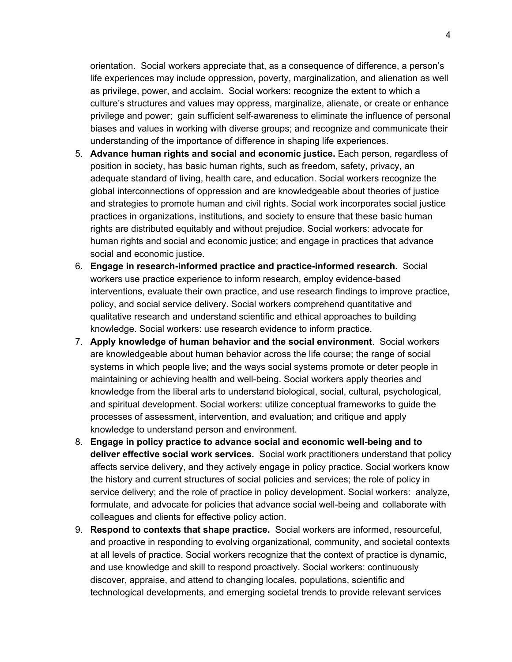orientation. Social workers appreciate that, as a consequence of difference, a person's life experiences may include oppression, poverty, marginalization, and alienation as well as privilege, power, and acclaim. Social workers: recognize the extent to which a culture's structures and values may oppress, marginalize, alienate, or create or enhance privilege and power; gain sufficient self-awareness to eliminate the influence of personal biases and values in working with diverse groups; and recognize and communicate their understanding of the importance of difference in shaping life experiences.

- 5. **Advance human rights and social and economic justice.** Each person, regardless of position in society, has basic human rights, such as freedom, safety, privacy, an adequate standard of living, health care, and education. Social workers recognize the global interconnections of oppression and are knowledgeable about theories of justice and strategies to promote human and civil rights. Social work incorporates social justice practices in organizations, institutions, and society to ensure that these basic human rights are distributed equitably and without prejudice. Social workers: advocate for human rights and social and economic justice; and engage in practices that advance social and economic justice.
- 6. **Engage in research-informed practice and practice-informed research.** S ocial workers use practice experience to inform research, employ evidence-based interventions, evaluate their own practice, and use research findings to improve practice, policy, and social service delivery. Social workers comprehend quantitative and qualitative research and understand scientific and ethical approaches to building knowledge. Social workers: use research evidence to inform practice.
- 7. **Apply knowledge of human behavior and the social environment**. Social workers are knowledgeable about human behavior across the life course; the range of social systems in which people live; and the ways social systems promote or deter people in maintaining or achieving health and well-being. Social workers apply theories and knowledge from the liberal arts to understand biological, social, cultural, psychological, and spiritual development. Social workers: utilize conceptual frameworks to guide the processes of assessment, intervention, and evaluation; and critique and apply knowledge to understand person and environment.
- 8. **Engage in policy practice to advance social and economic well-being and to deliver effective social work services.** Social work practitioners understand that policy affects service delivery, and they actively engage in policy practice. Social workers know the history and current structures of social policies and services; the role of policy in service delivery; and the role of practice in policy development. Social workers: analyze, formulate, and advocate for policies that advance social well-being and collaborate with colleagues and clients for effective policy action.
- 9. **Respond to contexts that shape practice.** Social workers are informed, resourceful, and proactive in responding to evolving organizational, community, and societal contexts at all levels of practice. Social workers recognize that the context of practice is dynamic, and use knowledge and skill to respond proactively. Social workers: continuously discover, appraise, and attend to changing locales, populations, scientific and technological developments, and emerging societal trends to provide relevant services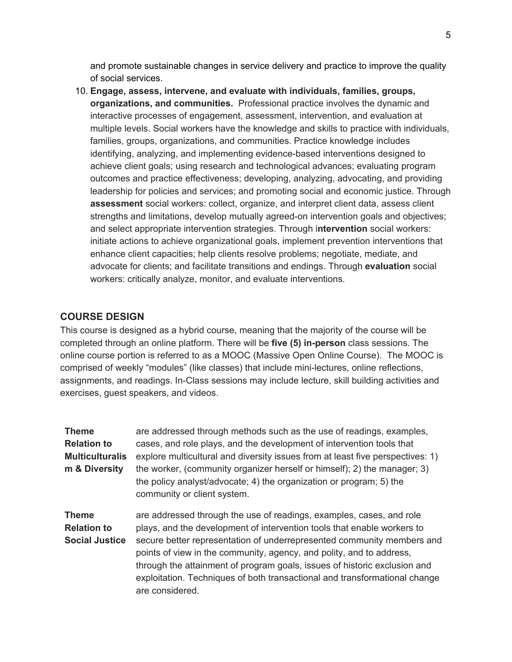and promote sustainable changes in service delivery and practice to improve the quality of social services.

10. **Engage, assess, intervene, and evaluate with individuals, families, groups, organizations, and communities.** Professional practice involves the dynamic and interactive processes of engagement, assessment, intervention, and evaluation at multiple levels. Social workers have the knowledge and skills to practice with individuals, families, groups, organizations, and communities. Practice knowledge includes identifying, analyzing, and implementing evidence-based interventions designed to achieve client goals; using research and technological advances; evaluating program outcomes and practice effectiveness; developing, analyzing, advocating, and providing leadership for policies and services; and promoting social and economic justice. Through **assessment** social workers: collect, organize, and interpret client data, assess client strengths and limitations, develop mutually agreed-on intervention goals and objectives; and select appropriate intervention strategies. Through i**ntervention** social workers: initiate actions to achieve organizational goals, implement prevention interventions that enhance client capacities; help clients resolve problems; negotiate, mediate, and advocate for clients; and facilitate transitions and endings. Through **evaluation** social workers: critically analyze, monitor, and evaluate interventions.

### **COURSE DESIGN**

This course is designed as a hybrid course, meaning that the majority of the course will be completed through an online platform. There will be **five (5) in-person** class sessions. The online course portion is referred to as a MOOC (Massive Open Online Course). The MOOC is comprised of weekly "modules" (like classes) that include mini-lectures, online reflections, assignments, and readings. In-Class sessions may include lecture, skill building activities and exercises, guest speakers, and videos.

| <b>Theme</b><br><b>Relation to</b><br><b>Multiculturalis</b><br>m & Diversity | are addressed through methods such as the use of readings, examples,<br>cases, and role plays, and the development of intervention tools that<br>explore multicultural and diversity issues from at least five perspectives: 1)<br>the worker, (community organizer herself or himself); 2) the manager; 3)<br>the policy analyst/advocate; 4) the organization or program; 5) the<br>community or client system.                                                               |
|-------------------------------------------------------------------------------|---------------------------------------------------------------------------------------------------------------------------------------------------------------------------------------------------------------------------------------------------------------------------------------------------------------------------------------------------------------------------------------------------------------------------------------------------------------------------------|
| <b>Theme</b><br><b>Relation to</b><br><b>Social Justice</b>                   | are addressed through the use of readings, examples, cases, and role<br>plays, and the development of intervention tools that enable workers to<br>secure better representation of underrepresented community members and<br>points of view in the community, agency, and polity, and to address,<br>through the attainment of program goals, issues of historic exclusion and<br>exploitation. Techniques of both transactional and transformational change<br>are considered. |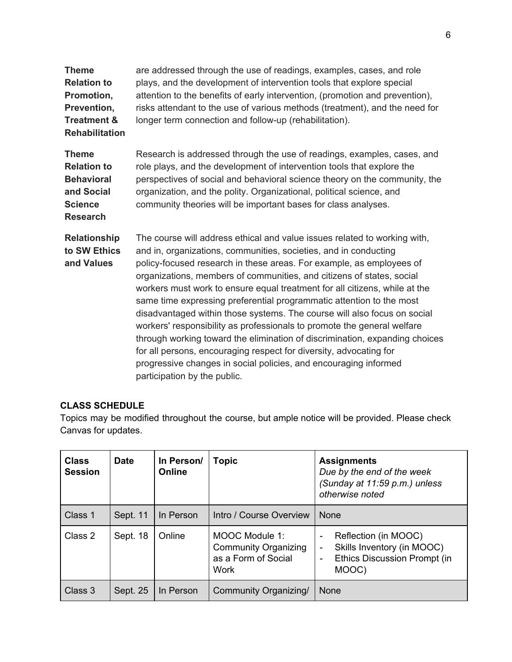| <b>Theme</b><br><b>Relation to</b><br>Promotion,<br>Prevention,<br><b>Treatment &amp;</b><br><b>Rehabilitation</b> | are addressed through the use of readings, examples, cases, and role<br>plays, and the development of intervention tools that explore special<br>attention to the benefits of early intervention, (promotion and prevention),<br>risks attendant to the use of various methods (treatment), and the need for<br>longer term connection and follow-up (rehabilitation).                                                                                                                                                                                                                                                                                                                                                                                                                                                                                               |
|--------------------------------------------------------------------------------------------------------------------|----------------------------------------------------------------------------------------------------------------------------------------------------------------------------------------------------------------------------------------------------------------------------------------------------------------------------------------------------------------------------------------------------------------------------------------------------------------------------------------------------------------------------------------------------------------------------------------------------------------------------------------------------------------------------------------------------------------------------------------------------------------------------------------------------------------------------------------------------------------------|
| <b>Theme</b><br><b>Relation to</b><br><b>Behavioral</b><br>and Social<br><b>Science</b><br><b>Research</b>         | Research is addressed through the use of readings, examples, cases, and<br>role plays, and the development of intervention tools that explore the<br>perspectives of social and behavioral science theory on the community, the<br>organization, and the polity. Organizational, political science, and<br>community theories will be important bases for class analyses.                                                                                                                                                                                                                                                                                                                                                                                                                                                                                            |
| <b>Relationship</b><br>to SW Ethics<br>and Values                                                                  | The course will address ethical and value issues related to working with,<br>and in, organizations, communities, societies, and in conducting<br>policy-focused research in these areas. For example, as employees of<br>organizations, members of communities, and citizens of states, social<br>workers must work to ensure equal treatment for all citizens, while at the<br>same time expressing preferential programmatic attention to the most<br>disadvantaged within those systems. The course will also focus on social<br>workers' responsibility as professionals to promote the general welfare<br>through working toward the elimination of discrimination, expanding choices<br>for all persons, encouraging respect for diversity, advocating for<br>progressive changes in social policies, and encouraging informed<br>participation by the public. |

### **CLASS SCHEDULE**

Topics may be modified throughout the course, but ample notice will be provided. Please check Canvas for updates.

| <b>Class</b><br><b>Session</b> | <b>Date</b> | In Person/<br>Online | Topic                                                                        | <b>Assignments</b><br>Due by the end of the week<br>(Sunday at 11:59 p.m.) unless<br>otherwise noted                             |
|--------------------------------|-------------|----------------------|------------------------------------------------------------------------------|----------------------------------------------------------------------------------------------------------------------------------|
| Class 1                        | Sept. 11    | In Person            | Intro / Course Overview                                                      | <b>None</b>                                                                                                                      |
| Class 2                        | Sept. 18    | Online               | MOOC Module 1:<br><b>Community Organizing</b><br>as a Form of Social<br>Work | Reflection (in MOOC)<br>Skills Inventory (in MOOC)<br>-<br>Ethics Discussion Prompt (in<br>$\qquad \qquad \blacksquare$<br>MOOC) |
| Class 3                        | Sept. 25    | In Person            | <b>Community Organizing/</b>                                                 | <b>None</b>                                                                                                                      |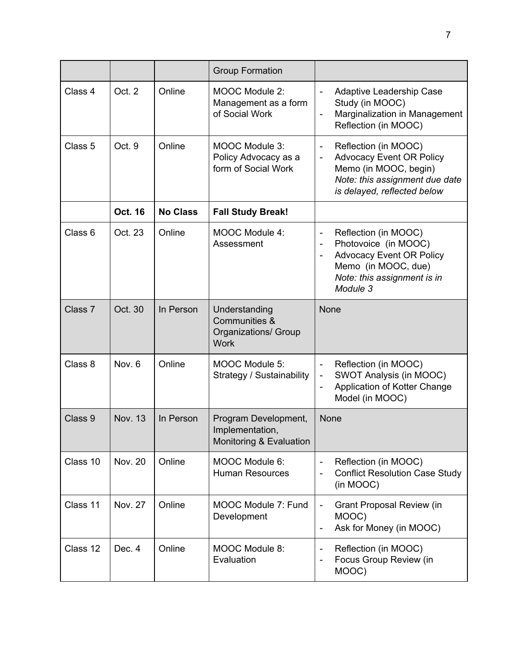|                    |                |                 | <b>Group Formation</b>                                                |                                                                                                                                                                                                           |
|--------------------|----------------|-----------------|-----------------------------------------------------------------------|-----------------------------------------------------------------------------------------------------------------------------------------------------------------------------------------------------------|
| Class 4            | Oct. 2         | Online          | MOOC Module 2:<br>Management as a form<br>of Social Work              | Adaptive Leadership Case<br>$\overline{\phantom{a}}$<br>Study (in MOOC)<br>Marginalization in Management<br>$\overline{\phantom{a}}$<br>Reflection (in MOOC)                                              |
| Class <sub>5</sub> | Oct. 9         | Online          | MOOC Module 3:<br>Policy Advocacy as a<br>form of Social Work         | Reflection (in MOOC)<br>$\overline{\phantom{a}}$<br><b>Advocacy Event OR Policy</b><br>$\overline{\phantom{a}}$<br>Memo (in MOOC, begin)<br>Note: this assignment due date<br>is delayed, reflected below |
|                    | Oct. 16        | <b>No Class</b> | <b>Fall Study Break!</b>                                              |                                                                                                                                                                                                           |
| Class <sub>6</sub> | Oct. 23        | Online          | MOOC Module 4:<br>Assessment                                          | Reflection (in MOOC)<br>$\overline{\phantom{a}}$<br>Photovoice (in MOOC)<br><b>Advocacy Event OR Policy</b><br>$\overline{\phantom{a}}$<br>Memo (in MOOC, due)<br>Note: this assignment is in<br>Module 3 |
| Class <sub>7</sub> | Oct. 30        | In Person       | Understanding<br>Communities &<br>Organizations/ Group<br><b>Work</b> | <b>None</b>                                                                                                                                                                                               |
| Class 8            | Nov. 6         | Online          | MOOC Module 5:<br>Strategy / Sustainability                           | Reflection (in MOOC)<br>$\blacksquare$<br>SWOT Analysis (in MOOC)<br>$\overline{\phantom{a}}$<br>Application of Kotter Change<br>$\overline{\phantom{a}}$<br>Model (in MOOC)                              |
| Class 9            | <b>Nov. 13</b> | In Person       | Program Development,<br>Implementation,<br>Monitoring & Evaluation    | <b>None</b>                                                                                                                                                                                               |
| Class 10           | Nov. 20        | Online          | MOOC Module 6:<br><b>Human Resources</b>                              | Reflection (in MOOC)<br>$\overline{\phantom{a}}$<br><b>Conflict Resolution Case Study</b><br>$\overline{\phantom{a}}$<br>(in MOOC)                                                                        |
| Class 11           | <b>Nov. 27</b> | Online          | MOOC Module 7: Fund<br>Development                                    | <b>Grant Proposal Review (in</b><br>÷,<br>MOOC)<br>Ask for Money (in MOOC)<br>$\overline{\phantom{a}}$                                                                                                    |
| Class 12           | Dec. 4         | Online          | MOOC Module 8:<br>Evaluation                                          | Reflection (in MOOC)<br>$\overline{\phantom{a}}$<br>Focus Group Review (in<br>MOOC)                                                                                                                       |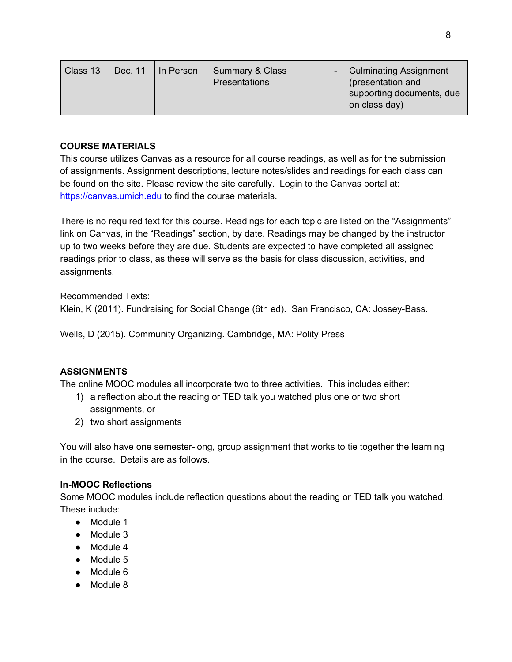| Class 13 | Dec. 11 | In Person | <b>Summary &amp; Class</b><br><b>Presentations</b> |  | - Culminating Assignment<br>(presentation and<br>supporting documents, due<br>on class day) |
|----------|---------|-----------|----------------------------------------------------|--|---------------------------------------------------------------------------------------------|
|----------|---------|-----------|----------------------------------------------------|--|---------------------------------------------------------------------------------------------|

#### **COURSE MATERIALS**

This course utilizes Canvas as a resource for all course readings, as well as for the submission of assignments. Assignment descriptions, lecture notes/slides and readings for each class can be found on the site. Please review the site carefully. Login to the Canvas portal at: https://canvas.umich.edu to find the course materials.

There is no required text for this course. Readings for each topic are listed on the "Assignments" link on Canvas, in the "Readings" section, by date. Readings may be changed by the instructor up to two weeks before they are due. Students are expected to have completed all assigned readings prior to class, as these will serve as the basis for class discussion, activities, and assignments.

Recommended Texts: Klein, K (2011). Fundraising for Social Change (6th ed). San Francisco, CA: Jossey-Bass.

Wells, D (2015). Community Organizing. Cambridge, MA: Polity Press

### **ASSIGNMENTS**

The online MOOC modules all incorporate two to three activities. This includes either:

- 1) a reflection about the reading or TED talk you watched plus one or two short assignments, or
- 2) two short assignments

You will also have one semester-long, group assignment that works to tie together the learning in the course. Details are as follows.

#### **In-MOOC Reflections**

Some MOOC modules include reflection questions about the reading or TED talk you watched. These include:

- Module 1
- Module 3
- Module 4
- Module 5
- Module 6
- Module 8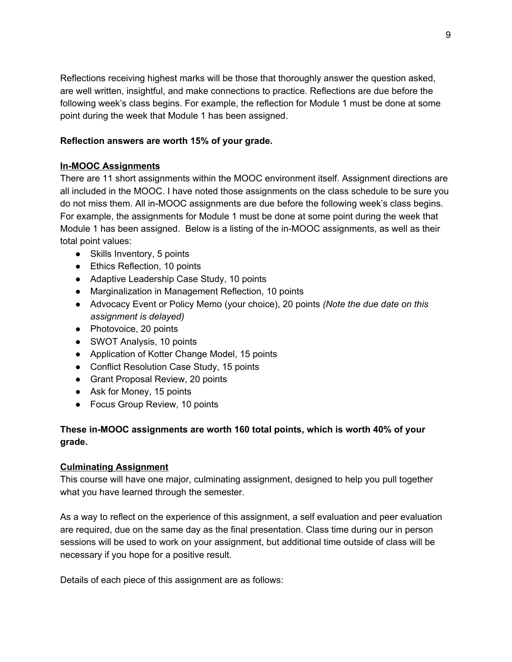Reflections receiving highest marks will be those that thoroughly answer the question asked, are well written, insightful, and make connections to practice. Reflections are due before the following week's class begins. For example, the reflection for Module 1 must be done at some point during the week that Module 1 has been assigned.

#### **Reflection answers are worth 15% of your grade.**

#### **In-MOOC Assignments**

There are 11 short assignments within the MOOC environment itself. Assignment directions are all included in the MOOC. I have noted those assignments on the class schedule to be sure you do not miss them. All in-MOOC assignments are due before the following week's class begins. For example, the assignments for Module 1 must be done at some point during the week that Module 1 has been assigned. Below is a listing of the in-MOOC assignments, as well as their total point values:

- Skills Inventory, 5 points
- Ethics Reflection, 10 points
- Adaptive Leadership Case Study, 10 points
- Marginalization in Management Reflection, 10 points
- Advocacy Event or Policy Memo (your choice), 20 points *(Note the due date on this assignment is delayed)*
- Photovoice, 20 points
- SWOT Analysis, 10 points
- Application of Kotter Change Model, 15 points
- Conflict Resolution Case Study, 15 points
- Grant Proposal Review, 20 points
- Ask for Money, 15 points
- Focus Group Review, 10 points

# **These in-MOOC assignments are worth 160 total points, which is worth 40% of your grade.**

### **Culminating Assignment**

This course will have one major, culminating assignment, designed to help you pull together what you have learned through the semester.

As a way to reflect on the experience of this assignment, a self evaluation and peer evaluation are required, due on the same day as the final presentation. Class time during our in person sessions will be used to work on your assignment, but additional time outside of class will be necessary if you hope for a positive result.

Details of each piece of this assignment are as follows: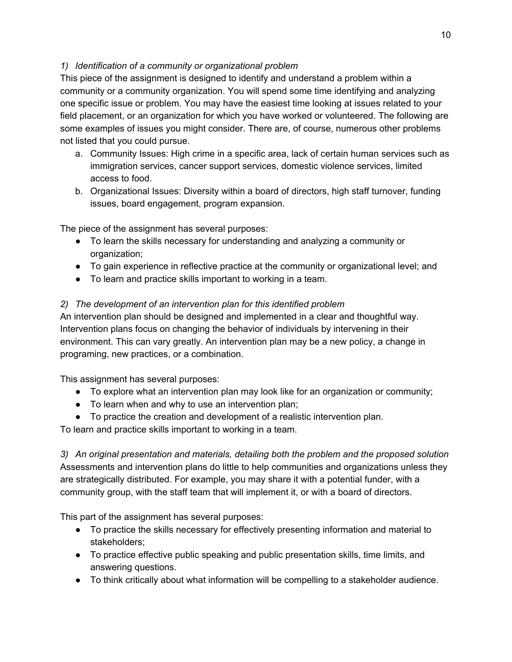### *1) Identification of a community or organizational problem*

This piece of the assignment is designed to identify and understand a problem within a community or a community organization. You will spend some time identifying and analyzing one specific issue or problem. You may have the easiest time looking at issues related to your field placement, or an organization for which you have worked or volunteered. The following are some examples of issues you might consider. There are, of course, numerous other problems not listed that you could pursue.

- a. Community Issues: High crime in a specific area, lack of certain human services such as immigration services, cancer support services, domestic violence services, limited access to food.
- b. Organizational Issues: Diversity within a board of directors, high staff turnover, funding issues, board engagement, program expansion.

The piece of the assignment has several purposes:

- To learn the skills necessary for understanding and analyzing a community or organization;
- To gain experience in reflective practice at the community or organizational level; and
- To learn and practice skills important to working in a team.

## *2) The development of an intervention plan for this identified problem*

An intervention plan should be designed and implemented in a clear and thoughtful way. Intervention plans focus on changing the behavior of individuals by intervening in their environment. This can vary greatly. An intervention plan may be a new policy, a change in programing, new practices, or a combination.

This assignment has several purposes:

- $\bullet$  To explore what an intervention plan may look like for an organization or community;
- To learn when and why to use an intervention plan;
- To practice the creation and development of a realistic intervention plan.

To learn and practice skills important to working in a team.

*3) An original presentation and materials, detailing both the problem and the proposed solution* Assessments and intervention plans do little to help communities and organizations unless they are strategically distributed. For example, you may share it with a potential funder, with a community group, with the staff team that will implement it, or with a board of directors.

This part of the assignment has several purposes:

- To practice the skills necessary for effectively presenting information and material to stakeholders;
- To practice effective public speaking and public presentation skills, time limits, and answering questions.
- To think critically about what information will be compelling to a stakeholder audience.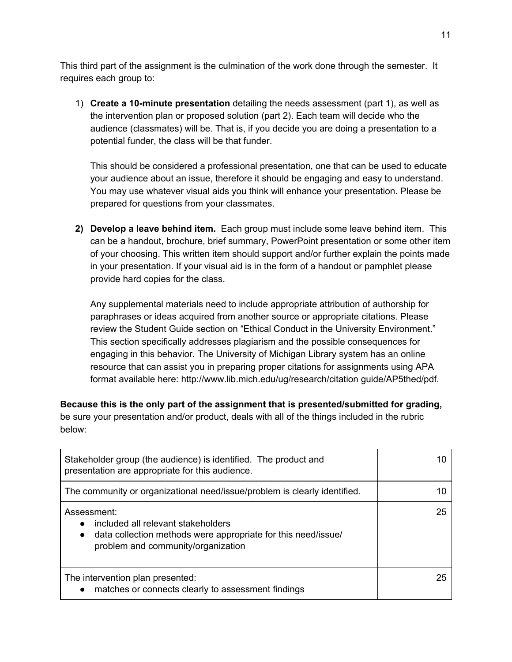This third part of the assignment is the culmination of the work done through the semester. It requires each group to:

1) **Create a 10-minute presentation** detailing the needs assessment (part 1), as well as the intervention plan or proposed solution (part 2). Each team will decide who the audience (classmates) will be. That is, if you decide you are doing a presentation to a potential funder, the class will be that funder.

This should be considered a professional presentation, one that can be used to educate your audience about an issue, therefore it should be engaging and easy to understand. You may use whatever visual aids you think will enhance your presentation. Please be prepared for questions from your classmates.

**2) Develop a leave behind item.** Each group must include some leave behind item. This can be a handout, brochure, brief summary, PowerPoint presentation or some other item of your choosing. This written item should support and/or further explain the points made in your presentation. If your visual aid is in the form of a handout or pamphlet please provide hard copies for the class.

Any supplemental materials need to include appropriate attribution of authorship for paraphrases or ideas acquired from another source or appropriate citations. Please review the Student Guide section on "Ethical Conduct in the University Environment." This section specifically addresses plagiarism and the possible consequences for engaging in this behavior. The University of Michigan Library system has an online resource that can assist you in preparing proper citations for assignments using APA format available here: http://www.lib.mich.edu/ug/research/citation guide/AP5thed/pdf.

**Because this is the only part of the assignment that is presented/submitted for grading,** be sure your presentation and/or product, deals with all of the things included in the rubric below:

| Stakeholder group (the audience) is identified. The product and<br>presentation are appropriate for this audience.                                                                 | 10 |
|------------------------------------------------------------------------------------------------------------------------------------------------------------------------------------|----|
| The community or organizational need/issue/problem is clearly identified.                                                                                                          | 10 |
| Assessment:<br>included all relevant stakeholders<br>$\bullet$<br>data collection methods were appropriate for this need/issue/<br>$\bullet$<br>problem and community/organization | 25 |
| The intervention plan presented:<br>matches or connects clearly to assessment findings<br>$\bullet$                                                                                | 25 |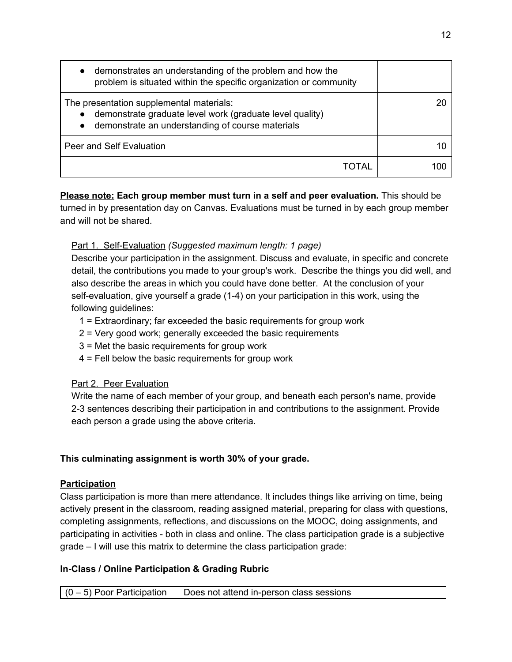| demonstrates an understanding of the problem and how the<br>$\bullet$<br>problem is situated within the specific organization or community                            |     |
|-----------------------------------------------------------------------------------------------------------------------------------------------------------------------|-----|
| The presentation supplemental materials:<br>demonstrate graduate level work (graduate level quality)<br>demonstrate an understanding of course materials<br>$\bullet$ | 20  |
| Peer and Self Evaluation                                                                                                                                              |     |
| ΓΩΤΑΙ                                                                                                                                                                 | 100 |

**Please note: Each group member must turn in a self and peer evaluation.** T his should be turned in by presentation day on Canvas. Evaluations must be turned in by each group member and will not be shared.

### Part 1. Self-Evaluation *(Suggested maximum length: 1 page)*

Describe your participation in the assignment. Discuss and evaluate, in specific and concrete detail, the contributions you made to your group's work. Describe the things you did well, and also describe the areas in which you could have done better. At the conclusion of your self-evaluation, give yourself a grade (1-4) on your participation in this work, using the following guidelines:

- 1 = Extraordinary; far exceeded the basic requirements for group work
- 2 = Very good work; generally exceeded the basic requirements
- 3 = Met the basic requirements for group work
- 4 = Fell below the basic requirements for group work

### Part 2. Peer Evaluation

Write the name of each member of your group, and beneath each person's name, provide 2-3 sentences describing their participation in and contributions to the assignment. Provide each person a grade using the above criteria.

### **This culminating assignment is worth 30% of your grade.**

#### **Participation**

Class participation is more than mere attendance. It includes things like arriving on time, being actively present in the classroom, reading assigned material, preparing for class with questions, completing assignments, reflections, and discussions on the MOOC, doing assignments, and participating in activities - both in class and online. The class participation grade is a subjective grade – I will use this matrix to determine the class participation grade:

### **In-Class / Online Participation & Grading Rubric**

| $(0-5)$ Poor Participation | Does not attend in-person class sessions |
|----------------------------|------------------------------------------|
|----------------------------|------------------------------------------|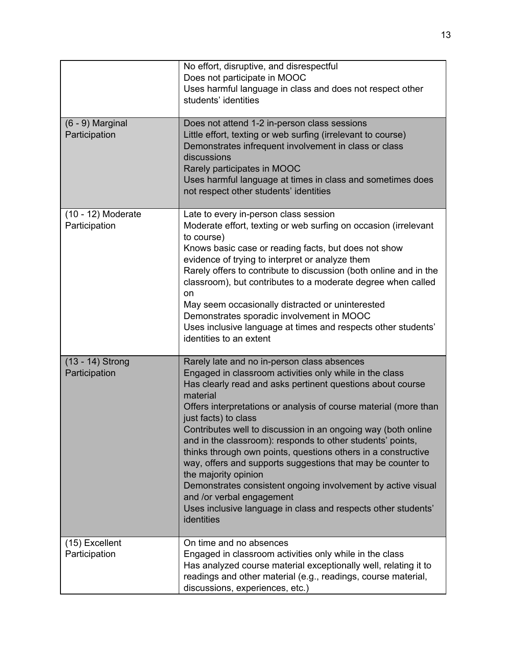|                                     | No effort, disruptive, and disrespectful<br>Does not participate in MOOC<br>Uses harmful language in class and does not respect other<br>students' identities                                                                                                                                                                                                                                                                                                                                                                                                                                                                                                                                                                                   |
|-------------------------------------|-------------------------------------------------------------------------------------------------------------------------------------------------------------------------------------------------------------------------------------------------------------------------------------------------------------------------------------------------------------------------------------------------------------------------------------------------------------------------------------------------------------------------------------------------------------------------------------------------------------------------------------------------------------------------------------------------------------------------------------------------|
| $(6 - 9)$ Marginal<br>Participation | Does not attend 1-2 in-person class sessions<br>Little effort, texting or web surfing (irrelevant to course)<br>Demonstrates infrequent involvement in class or class<br>discussions<br>Rarely participates in MOOC<br>Uses harmful language at times in class and sometimes does<br>not respect other students' identities                                                                                                                                                                                                                                                                                                                                                                                                                     |
| (10 - 12) Moderate<br>Participation | Late to every in-person class session<br>Moderate effort, texting or web surfing on occasion (irrelevant<br>to course)<br>Knows basic case or reading facts, but does not show<br>evidence of trying to interpret or analyze them<br>Rarely offers to contribute to discussion (both online and in the<br>classroom), but contributes to a moderate degree when called<br>on<br>May seem occasionally distracted or uninterested<br>Demonstrates sporadic involvement in MOOC<br>Uses inclusive language at times and respects other students'<br>identities to an extent                                                                                                                                                                       |
| (13 - 14) Strong<br>Participation   | Rarely late and no in-person class absences<br>Engaged in classroom activities only while in the class<br>Has clearly read and asks pertinent questions about course<br>material<br>Offers interpretations or analysis of course material (more than<br>just facts) to class<br>Contributes well to discussion in an ongoing way (both online<br>and in the classroom): responds to other students' points,<br>thinks through own points, questions others in a constructive<br>way, offers and supports suggestions that may be counter to<br>the majority opinion<br>Demonstrates consistent ongoing involvement by active visual<br>and /or verbal engagement<br>Uses inclusive language in class and respects other students'<br>identities |
| (15) Excellent<br>Participation     | On time and no absences<br>Engaged in classroom activities only while in the class<br>Has analyzed course material exceptionally well, relating it to<br>readings and other material (e.g., readings, course material,<br>discussions, experiences, etc.)                                                                                                                                                                                                                                                                                                                                                                                                                                                                                       |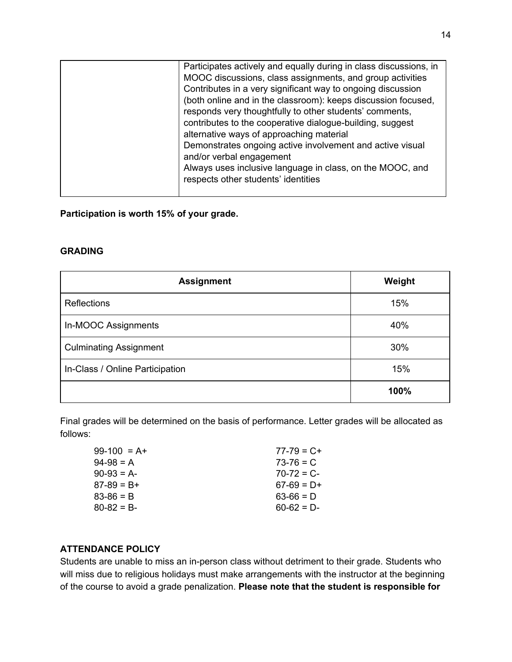| Participates actively and equally during in class discussions, in<br>MOOC discussions, class assignments, and group activities<br>Contributes in a very significant way to ongoing discussion<br>(both online and in the classroom): keeps discussion focused,<br>responds very thoughtfully to other students' comments,<br>contributes to the cooperative dialogue-building, suggest<br>alternative ways of approaching material<br>Demonstrates ongoing active involvement and active visual<br>and/or verbal engagement<br>Always uses inclusive language in class, on the MOOC, and<br>respects other students' identities |
|---------------------------------------------------------------------------------------------------------------------------------------------------------------------------------------------------------------------------------------------------------------------------------------------------------------------------------------------------------------------------------------------------------------------------------------------------------------------------------------------------------------------------------------------------------------------------------------------------------------------------------|
|                                                                                                                                                                                                                                                                                                                                                                                                                                                                                                                                                                                                                                 |

### **Participation is worth 15% of your grade.**

#### **GRADING**

| <b>Assignment</b>               | Weight |
|---------------------------------|--------|
| Reflections                     | 15%    |
| In-MOOC Assignments             | 40%    |
| <b>Culminating Assignment</b>   | 30%    |
| In-Class / Online Participation | 15%    |
|                                 | 100%   |

Final grades will be determined on the basis of performance. Letter grades will be allocated as follows:

| 99-100 = A+ | $77 - 79 = C +$ |
|-------------|-----------------|
| 94-98 = A   | $73 - 76 = C$   |
| 90-93 = A-  | $70-72 = C$     |
| 87-89 = B+  | $67-69 = D+$    |
| 83-86 = B   | $63-66 = D$     |
| 80-82 = B-  | $60 - 62 = D -$ |
|             |                 |

### **ATTENDANCE POLICY**

Students are unable to miss an in-person class without detriment to their grade. Students who will miss due to religious holidays must make arrangements with the instructor at the beginning of the course to avoid a grade penalization. **Please note that the student is responsible for**